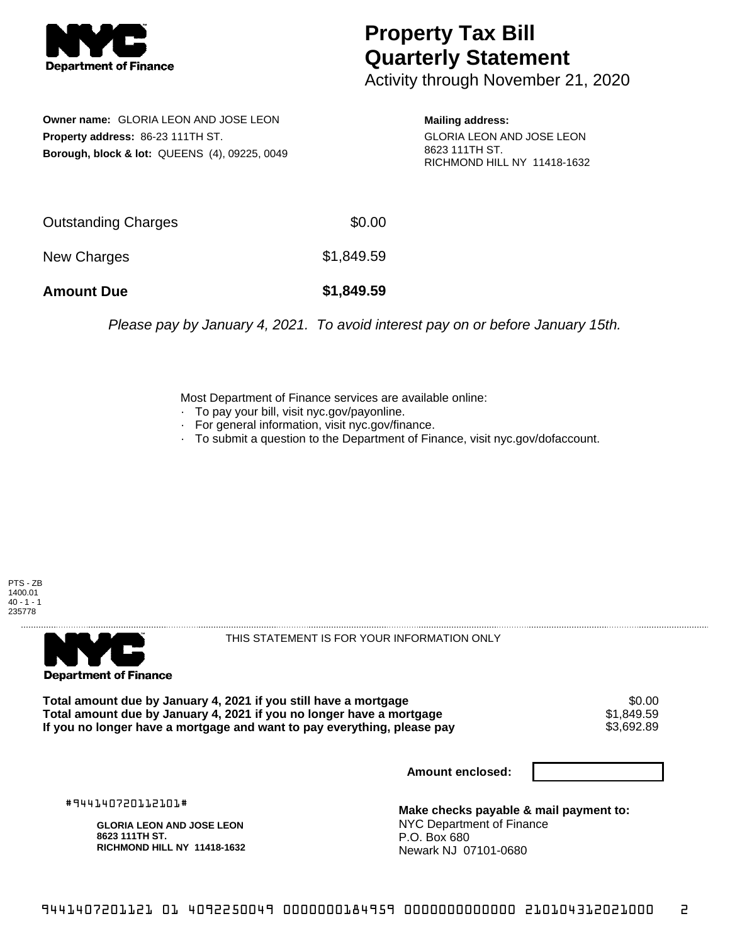

## **Property Tax Bill Quarterly Statement**

Activity through November 21, 2020

**Owner name:** GLORIA LEON AND JOSE LEON **Property address:** 86-23 111TH ST. **Borough, block & lot:** QUEENS (4), 09225, 0049

**Mailing address:** GLORIA LEON AND JOSE LEON 8623 111TH ST. RICHMOND HILL NY 11418-1632

| <b>Amount Due</b>   | \$1,849.59 |
|---------------------|------------|
| New Charges         | \$1,849.59 |
| Outstanding Charges | \$0.00     |

Please pay by January 4, 2021. To avoid interest pay on or before January 15th.

Most Department of Finance services are available online:

- · To pay your bill, visit nyc.gov/payonline.
- For general information, visit nyc.gov/finance.
- · To submit a question to the Department of Finance, visit nyc.gov/dofaccount.





THIS STATEMENT IS FOR YOUR INFORMATION ONLY

Total amount due by January 4, 2021 if you still have a mortgage \$0.00<br>Total amount due by January 4, 2021 if you no longer have a mortgage \$1.849.59 **Total amount due by January 4, 2021 if you no longer have a mortgage**  $$1,849.59$ **<br>If you no longer have a mortgage and want to pay everything, please pay**  $$3,692.89$ If you no longer have a mortgage and want to pay everything, please pay

**Amount enclosed:**

#944140720112101#

**GLORIA LEON AND JOSE LEON 8623 111TH ST. RICHMOND HILL NY 11418-1632**

**Make checks payable & mail payment to:** NYC Department of Finance P.O. Box 680 Newark NJ 07101-0680